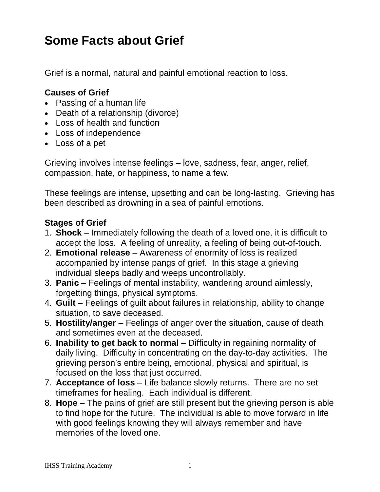## **Some Facts about Grief**

Grief is a normal, natural and painful emotional reaction to loss.

## **Causes of Grief**

- Passing of a human life
- Death of a relationship (divorce)
- Loss of health and function
- Loss of independence
- Loss of a pet

Grieving involves intense feelings – love, sadness, fear, anger, relief, compassion, hate, or happiness, to name a few.

These feelings are intense, upsetting and can be long-lasting. Grieving has been described as drowning in a sea of painful emotions.

## **Stages of Grief**

- 1. **Shock** Immediately following the death of a loved one, it is difficult to accept the loss. A feeling of unreality, a feeling of being out-of-touch.
- 2. **Emotional release** Awareness of enormity of loss is realized accompanied by intense pangs of grief. In this stage a grieving individual sleeps badly and weeps uncontrollably.
- 3. **Panic** Feelings of mental instability, wandering around aimlessly, forgetting things, physical symptoms.
- 4. **Guilt** Feelings of guilt about failures in relationship, ability to change situation, to save deceased.
- 5. **Hostility/anger** Feelings of anger over the situation, cause of death and sometimes even at the deceased.
- 6. **Inability to get back to normal** Difficulty in regaining normality of daily living. Difficulty in concentrating on the day-to-day activities. The grieving person's entire being, emotional, physical and spiritual, is focused on the loss that just occurred.
- 7. **Acceptance of loss** Life balance slowly returns. There are no set timeframes for healing. Each individual is different.
- 8. **Hope** The pains of grief are still present but the grieving person is able to find hope for the future. The individual is able to move forward in life with good feelings knowing they will always remember and have memories of the loved one.